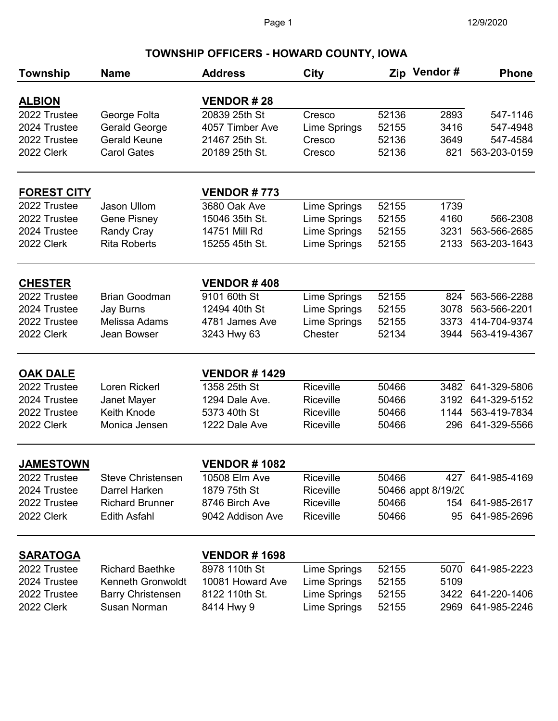## **TOWNSHIP OFFICERS - HOWARD COUNTY, IOWA**

| Township                      | <b>Name</b>                | <b>Address</b>                 | City                                 |                | Zip Vendor#        | <b>Phone</b>                 |
|-------------------------------|----------------------------|--------------------------------|--------------------------------------|----------------|--------------------|------------------------------|
|                               |                            | <b>VENDOR#28</b>               |                                      |                |                    |                              |
| <b>ALBION</b><br>2022 Trustee | George Folta               | 20839 25th St                  | Cresco                               | 52136          | 2893               | 547-1146                     |
| 2024 Trustee                  | <b>Gerald George</b>       | 4057 Timber Ave                | Lime Springs                         | 52155          | 3416               | 547-4948                     |
| 2022 Trustee                  | <b>Gerald Keune</b>        | 21467 25th St.                 | Cresco                               | 52136          | 3649               | 547-4584                     |
| 2022 Clerk                    | <b>Carol Gates</b>         | 20189 25th St.                 | Cresco                               | 52136          | 821                | 563-203-0159                 |
| <b>FOREST CITY</b>            |                            | <b>VENDOR#773</b>              |                                      |                |                    |                              |
| 2022 Trustee                  | Jason Ullom                | 3680 Oak Ave                   | Lime Springs                         | 52155          | 1739               |                              |
| 2022 Trustee                  | <b>Gene Pisney</b>         | 15046 35th St.                 | Lime Springs                         | 52155          | 4160               | 566-2308                     |
| 2024 Trustee                  | <b>Randy Cray</b>          | 14751 Mill Rd                  | <b>Lime Springs</b>                  | 52155          | 3231               | 563-566-2685                 |
| 2022 Clerk                    | <b>Rita Roberts</b>        | 15255 45th St.                 | Lime Springs                         | 52155          | 2133               | 563-203-1643                 |
| <b>CHESTER</b>                |                            | <b>VENDOR#408</b>              |                                      |                |                    |                              |
| 2022 Trustee                  | <b>Brian Goodman</b>       | 9101 60th St                   | Lime Springs                         | 52155          | 824                | 563-566-2288                 |
| 2024 Trustee                  | <b>Jay Burns</b>           | 12494 40th St                  | Lime Springs                         | 52155          | 3078               | 563-566-2201                 |
| 2022 Trustee                  | Melissa Adams              | 4781 James Ave                 | Lime Springs                         | 52155          | 3373               | 414-704-9374                 |
| 2022 Clerk                    | Jean Bowser                | 3243 Hwy 63                    | Chester                              | 52134          | 3944               | 563-419-4367                 |
|                               |                            |                                |                                      |                |                    |                              |
| <b>OAK DALE</b>               |                            | <b>VENDOR # 1429</b>           |                                      |                |                    |                              |
| 2022 Trustee                  | Loren Rickerl              | 1358 25th St                   | Riceville                            | 50466<br>50466 | 3482               | 641-329-5806                 |
| 2024 Trustee<br>2022 Trustee  | Janet Mayer<br>Keith Knode | 1294 Dale Ave.<br>5373 40th St | <b>Riceville</b><br><b>Riceville</b> | 50466          | 3192<br>1144       | 641-329-5152<br>563-419-7834 |
| 2022 Clerk                    | Monica Jensen              | 1222 Dale Ave                  | Riceville                            | 50466          | 296                | 641-329-5566                 |
|                               |                            |                                |                                      |                |                    |                              |
| <b>JAMESTOWN</b>              |                            | <b>VENDOR#1082</b>             |                                      |                |                    |                              |
| 2022 Trustee                  | <b>Steve Christensen</b>   | 10508 Elm Ave                  | Riceville                            | 50466          |                    | 427 641-985-4169             |
| 2024 Trustee                  | Darrel Harken              | 1879 75th St                   | Riceville                            |                | 50466 appt 8/19/20 |                              |
| 2022 Trustee                  | <b>Richard Brunner</b>     | 8746 Birch Ave                 | Riceville                            | 50466          | 154                | 641-985-2617                 |
| 2022 Clerk                    | <b>Edith Asfahl</b>        | 9042 Addison Ave               | Riceville                            | 50466          | 95                 | 641-985-2696                 |
| <b>SARATOGA</b>               |                            | <b>VENDOR#1698</b>             |                                      |                |                    |                              |
| 2022 Trustee                  | <b>Richard Baethke</b>     | 8978 110th St                  | Lime Springs                         | 52155          | 5070               | 641-985-2223                 |
| 2024 Trustee                  | Kenneth Gronwoldt          | 10081 Howard Ave               | Lime Springs                         | 52155          | 5109               |                              |
| 2022 Trustee                  | <b>Barry Christensen</b>   | 8122 110th St.                 | Lime Springs                         | 52155          |                    | 3422 641-220-1406            |
| 2022 Clerk                    | <b>Susan Norman</b>        | 8414 Hwy 9                     | Lime Springs                         | 52155          | 2969               | 641-985-2246                 |
|                               |                            |                                |                                      |                |                    |                              |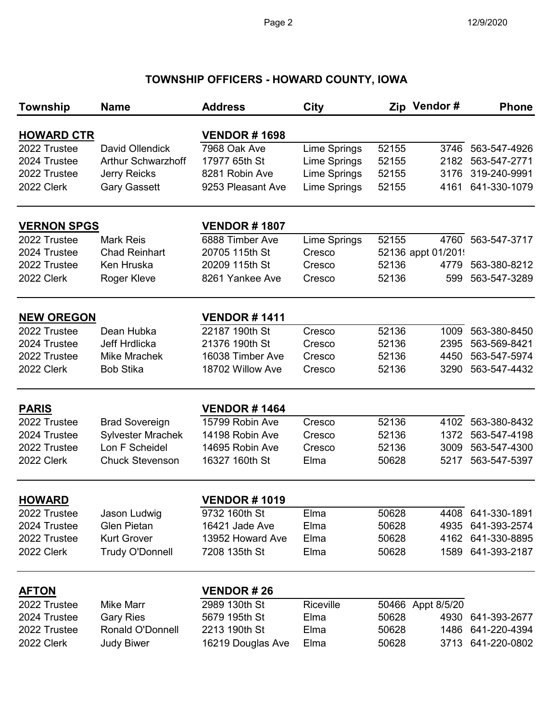## **TOWNSHIP OFFICERS - HOWARD COUNTY, IOWA**

| <b>Township</b>    | <b>Name</b>               | <b>Address</b>       | <b>City</b>  |       | Zip Vendor#        | <b>Phone</b>      |
|--------------------|---------------------------|----------------------|--------------|-------|--------------------|-------------------|
| <b>HOWARD CTR</b>  |                           | <b>VENDOR#1698</b>   |              |       |                    |                   |
| 2022 Trustee       | David Ollendick           | 7968 Oak Ave         | Lime Springs | 52155 | 3746               | 563-547-4926      |
| 2024 Trustee       | <b>Arthur Schwarzhoff</b> | 17977 65th St        | Lime Springs | 52155 | 2182               | 563-547-2771      |
| 2022 Trustee       | <b>Jerry Reicks</b>       | 8281 Robin Ave       | Lime Springs | 52155 | 3176               | 319-240-9991      |
| 2022 Clerk         | <b>Gary Gassett</b>       | 9253 Pleasant Ave    | Lime Springs | 52155 | 4161               | 641-330-1079      |
| <b>VERNON SPGS</b> |                           | <b>VENDOR#1807</b>   |              |       |                    |                   |
| 2022 Trustee       | <b>Mark Reis</b>          | 6888 Timber Ave      | Lime Springs | 52155 | 4760               | 563-547-3717      |
| 2024 Trustee       | <b>Chad Reinhart</b>      | 20705 115th St       | Cresco       |       | 52136 appt 01/2019 |                   |
| 2022 Trustee       | Ken Hruska                | 20209 115th St       | Cresco       | 52136 | 4779               | 563-380-8212      |
| 2022 Clerk         | Roger Kleve               | 8261 Yankee Ave      | Cresco       | 52136 | 599                | 563-547-3289      |
| <b>NEW OREGON</b>  |                           | <b>VENDOR # 1411</b> |              |       |                    |                   |
| 2022 Trustee       | Dean Hubka                | 22187 190th St       | Cresco       | 52136 | 1009               | 563-380-8450      |
| 2024 Trustee       | <b>Jeff Hrdlicka</b>      | 21376 190th St       | Cresco       | 52136 | 2395               | 563-569-8421      |
| 2022 Trustee       | Mike Mrachek              | 16038 Timber Ave     | Cresco       | 52136 | 4450               | 563-547-5974      |
| 2022 Clerk         | <b>Bob Stika</b>          | 18702 Willow Ave     | Cresco       | 52136 | 3290               | 563-547-4432      |
| <b>PARIS</b>       |                           | <b>VENDOR #1464</b>  |              |       |                    |                   |
| 2022 Trustee       | <b>Brad Sovereign</b>     | 15799 Robin Ave      | Cresco       | 52136 | 4102               | 563-380-8432      |
| 2024 Trustee       | <b>Sylvester Mrachek</b>  | 14198 Robin Ave      | Cresco       | 52136 | 1372               | 563-547-4198      |
| 2022 Trustee       | Lon F Scheidel            | 14695 Robin Ave      | Cresco       | 52136 | 3009               | 563-547-4300      |
| 2022 Clerk         | <b>Chuck Stevenson</b>    | 16327 160th St       | Elma         | 50628 | 5217               | 563-547-5397      |
| <b>HOWARD</b>      |                           | <b>VENDOR#1019</b>   |              |       |                    |                   |
| 2022 Trustee       | Jason Ludwig              | 9732 160th St        | Elma         | 50628 |                    | 4408 641-330-1891 |
| 2024 Trustee       | Glen Pietan               | 16421 Jade Ave       | Elma         | 50628 | 4935               | 641-393-2574      |
| 2022 Trustee       | <b>Kurt Grover</b>        | 13952 Howard Ave     | Elma         | 50628 | 4162               | 641-330-8895      |
| 2022 Clerk         | <b>Trudy O'Donnell</b>    | 7208 135th St        | Elma         | 50628 | 1589               | 641-393-2187      |
| <b>AFTON</b>       |                           | <b>VENDOR#26</b>     |              |       |                    |                   |
| 2022 Trustee       | <b>Mike Marr</b>          | 2989 130th St        | Riceville    |       | 50466 Appt 8/5/20  |                   |
| 2024 Trustee       | <b>Gary Ries</b>          | 5679 195th St        | Elma         | 50628 | 4930               | 641-393-2677      |
| 2022 Trustee       | Ronald O'Donnell          | 2213 190th St        | Elma         | 50628 | 1486               | 641-220-4394      |
| 2022 Clerk         | <b>Judy Biwer</b>         | 16219 Douglas Ave    | Elma         | 50628 | 3713               | 641-220-0802      |